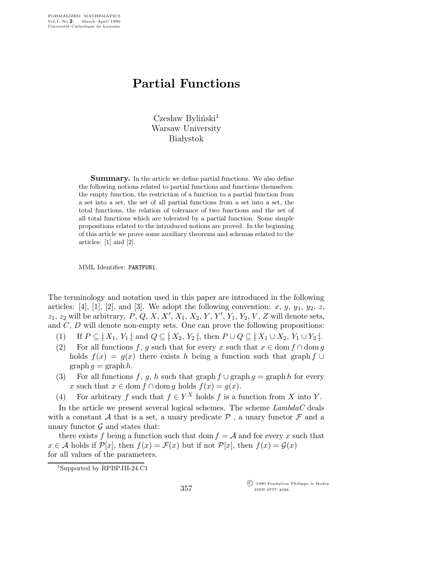## Partial Functions

 $C$ zesław Byliński<sup>1</sup> Warsaw University **Białystok** 

Summary. In the article we define partial functions. We also define the following notions related to partial functions and functions themselves: the empty function, the restriction of a function to a partial function from a set into a set, the set of all partial functions from a set into a set, the total functions, the relation of tolerance of two functions and the set of all total functions which are tolerated by a partial function. Some simple propositions related to the introduced notions are proved. In the beginning of this article we prove some auxiliary theorems and schemas related to the articles: [1] and [2].

MML Identifier: PARTFUN1.

The terminology and notation used in this paper are introduced in the following articles: [4], [1], [2], and [3]. We adopt the following convention:  $x, y, y_1, y_2, z$ ,  $z_1, z_2$  will be arbitrary, P, Q, X, X',  $X_1, X_2, Y, Y', Y_1, Y_2, V, Z$  will denote sets, and  $C, D$  will denote non-empty sets. One can prove the following propositions:

- (1) If  $P \subseteq [X_1, Y_1]$  and  $Q \subseteq [X_2, Y_2]$ , then  $P \cup Q \subseteq [X_1 \cup X_2, Y_1 \cup Y_2]$ .
- (2) For all functions f, g such that for every x such that  $x \in \text{dom } f \cap \text{dom } g$ holds  $f(x) = g(x)$  there exists h being a function such that graph f ∪  $graph g = graph h.$
- (3) For all functions f, g, h such that graph  $f \cup \text{graph } g = \text{graph } h$  for every x such that  $x \in \text{dom } f \cap \text{dom } g$  holds  $f(x) = g(x)$ .
- (4) For arbitrary f such that  $f \in Y^X$  holds f is a function from X into Y.

In the article we present several logical schemes. The scheme  $Lambda C$  deals with a constant A that is a set, a unary predicate  $P$ , a unary functor  $\mathcal F$  and a unary functor  $\mathcal G$  and states that:

there exists f being a function such that dom  $f = A$  and for every x such that  $x \in \mathcal{A}$  holds if  $\mathcal{P}[x]$ , then  $f(x) = \mathcal{F}(x)$  but if not  $\mathcal{P}[x]$ , then  $f(x) = \mathcal{G}(x)$ for all values of the parameters.

 $\overline{C}$  1990 Fondation Philippe le Hodey ISSN 0777–4028

<sup>1</sup>Supported by RPBP.III-24.C1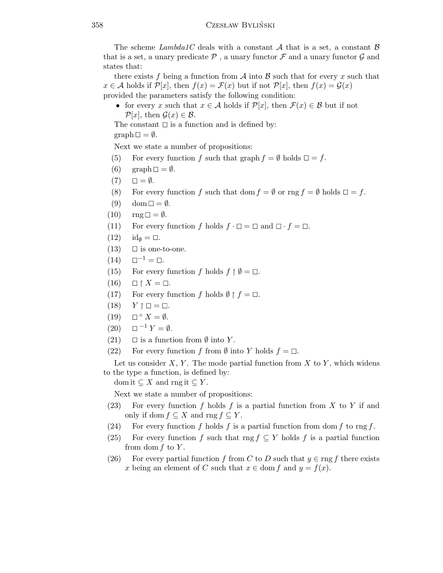The scheme Lambda1C deals with a constant A that is a set, a constant  $\beta$ that is a set, a unary predicate  $P$ , a unary functor  $\mathcal F$  and a unary functor  $\mathcal G$  and states that:

there exists f being a function from  $\mathcal A$  into  $\mathcal B$  such that for every x such that  $x \in \mathcal{A}$  holds if  $\mathcal{P}[x]$ , then  $f(x) = \mathcal{F}(x)$  but if not  $\mathcal{P}[x]$ , then  $f(x) = \mathcal{G}(x)$ provided the parameters satisfy the following condition:

• for every x such that  $x \in A$  holds if  $\mathcal{P}[x]$ , then  $\mathcal{F}(x) \in \mathcal{B}$  but if not  $\mathcal{P}[x]$ , then  $\mathcal{G}(x) \in \mathcal{B}$ .

The constant  $\square$  is a function and is defined by:

 $graph \Box = \emptyset.$ 

Next we state a number of propositions:

- (5) For every function f such that graph  $f = \emptyset$  holds  $\square = f$ .
- (6)  $graph \Box = \emptyset$ .
- $(7) \quad \Box = \emptyset.$
- (8) For every function f such that dom  $f = \emptyset$  or  $\text{rng } f = \emptyset$  holds  $\square = f$ .
- (9) dom  $\square = \emptyset$ .
- $(10)$  rng  $\square = \emptyset$ .
- (11) For every function f holds  $f \cdot \Box = \Box$  and  $\Box \cdot f = \Box$ .
- $(12)$   $id_{\emptyset} = \square$ .
- $(13)$   $\Box$  is one-to-one.
- $(14) \quad \Box^{-1} = \Box.$
- (15) For every function f holds  $f \restriction \emptyset = \square$ .
- (16)  $\restriction X = \Box.$
- (17) For every function f holds  $\emptyset \restriction f = \square$ .
- $(18)$  $\uparrow \square = \square.$
- $(19)$   $\square$ °  $X = \emptyset$ .
- $(20)$   $\Box^{-1} Y = \emptyset$ .
- (21)  $\Box$  is a function from  $\emptyset$  into Y.
- (22) For every function f from  $\emptyset$  into Y holds  $f = \Box$ .

Let us consider  $X, Y$ . The mode partial function from  $X$  to  $Y$ , which widens to the type a function, is defined by:

dom it  $\subseteq X$  and rng it  $\subseteq Y$ .

Next we state a number of propositions:

- (23) For every function f holds f is a partial function from X to Y if and only if dom  $f \subseteq X$  and rng  $f \subseteq Y$ .
- (24) For every function f holds f is a partial function from dom f to rng f.
- (25) For every function f such that rng  $f \subseteq Y$  holds f is a partial function from dom  $f$  to  $Y$ .
- (26) For every partial function f from C to D such that  $y \in \text{rng } f$  there exists x being an element of C such that  $x \in \text{dom } f$  and  $y = f(x)$ .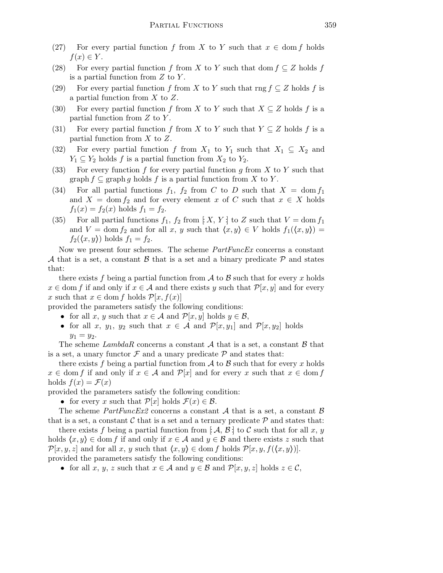- (27) For every partial function f from X to Y such that  $x \in \text{dom } f$  holds  $f(x) \in Y$ .
- (28) For every partial function f from X to Y such that dom  $f \subseteq Z$  holds f is a partial function from  $Z$  to  $Y$ .
- (29) For every partial function f from X to Y such that rng  $f \subseteq Z$  holds f is a partial function from X to Z.
- (30) For every partial function f from X to Y such that  $X \subseteq Z$  holds f is a partial function from  $Z$  to  $Y$ .
- (31) For every partial function f from X to Y such that  $Y \subseteq Z$  holds f is a partial function from  $X$  to  $Z$ .
- (32) For every partial function f from  $X_1$  to  $Y_1$  such that  $X_1 \subseteq X_2$  and  $Y_1 \subseteq Y_2$  holds f is a partial function from  $X_2$  to  $Y_2$ .
- (33) For every function f for every partial function g from X to Y such that graph  $f \subseteq \text{graph } g$  holds f is a partial function from X to Y.
- (34) For all partial functions  $f_1$ ,  $f_2$  from C to D such that  $X = \text{dom } f_1$ and  $X = \text{dom } f_2$  and for every element x of C such that  $x \in X$  holds  $f_1(x) = f_2(x)$  holds  $f_1 = f_2$ .
- (35) For all partial functions  $f_1, f_2$  from  $\vert X, Y \vert$  to Z such that  $V = \text{dom } f_1$ and  $V = \text{dom } f_2$  and for all x, y such that  $\langle x, y \rangle \in V$  holds  $f_1(\langle x, y \rangle) =$  $f_2(\langle x,y\rangle)$  holds  $f_1 = f_2$ .

Now we present four schemes. The scheme PartFuncEx concerns a constant A that is a set, a constant B that is a set and a binary predicate  $\mathcal P$  and states that:

there exists f being a partial function from  $A$  to  $B$  such that for every x holds  $x \in \text{dom } f$  if and only if  $x \in \mathcal{A}$  and there exists y such that  $\mathcal{P}[x, y]$  and for every x such that  $x \in \text{dom } f$  holds  $\mathcal{P}[x, f(x)]$ 

provided the parameters satisfy the following conditions:

- for all x, y such that  $x \in \mathcal{A}$  and  $\mathcal{P}[x, y]$  holds  $y \in \mathcal{B}$ ,
- for all x,  $y_1$ ,  $y_2$  such that  $x \in A$  and  $\mathcal{P}[x, y_1]$  and  $\mathcal{P}[x, y_2]$  holds  $y_1 = y_2.$

The scheme LambdaR concerns a constant  $A$  that is a set, a constant  $B$  that is a set, a unary functor  $\mathcal F$  and a unary predicate  $\mathcal P$  and states that:

there exists f being a partial function from  $A$  to  $B$  such that for every x holds  $x \in \text{dom } f$  if and only if  $x \in \mathcal{A}$  and  $\mathcal{P}[x]$  and for every x such that  $x \in \text{dom } f$ holds  $f(x) = \mathcal{F}(x)$ 

provided the parameters satisfy the following condition:

• for every x such that  $\mathcal{P}[x]$  holds  $\mathcal{F}(x) \in \mathcal{B}$ .

The scheme  $PartFuncEx2$  concerns a constant A that is a set, a constant B that is a set, a constant  $\mathcal C$  that is a set and a ternary predicate  $\mathcal P$  and states that:

there exists f being a partial function from  $[\mathcal{A}, \mathcal{B}]$  to C such that for all x, y holds  $\langle x,y\rangle \in$  dom f if and only if  $x \in \mathcal{A}$  and  $y \in \mathcal{B}$  and there exists z such that  $\mathcal{P}[x,y,z]$  and for all x, y such that  $\langle x,y\rangle \in \text{dom } f$  holds  $\mathcal{P}[x,y,f(\langle x,y\rangle)]$ . provided the parameters satisfy the following conditions:

• for all x, y, z such that  $x \in \mathcal{A}$  and  $y \in \mathcal{B}$  and  $\mathcal{P}[x, y, z]$  holds  $z \in \mathcal{C}$ ,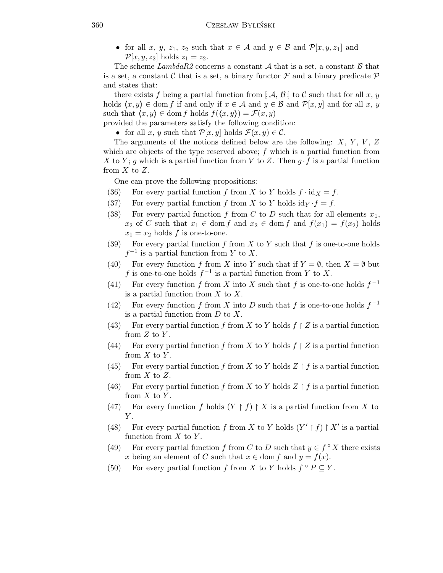• for all x, y, z<sub>1</sub>, z<sub>2</sub> such that  $x \in A$  and  $y \in B$  and  $\mathcal{P}[x, y, z_1]$  and  $\mathcal{P}[x,y,z_2]$  holds  $z_1 = z_2$ .

The scheme LambdaR2 concerns a constant A that is a set, a constant B that is a set, a constant C that is a set, a binary functor  $\mathcal F$  and a binary predicate  $\mathcal P$ and states that:

there exists f being a partial function from  $[\mathcal{A}, \mathcal{B}]$  to C such that for all x, y holds  $\langle x,y\rangle \in$  dom f if and only if  $x \in A$  and  $y \in B$  and  $\mathcal{P}[x,y]$  and for all  $x, y$ such that  $\langle x,y \rangle \in$  dom f holds  $f(\langle x,y \rangle) = \mathcal{F}(x,y)$ 

provided the parameters satisfy the following condition:

• for all x, y such that  $\mathcal{P}[x,y]$  holds  $\mathcal{F}(x,y) \in \mathcal{C}$ .

The arguments of the notions defined below are the following:  $X, Y, V, Z$ which are objects of the type reserved above;  $f$  which is a partial function from X to Y; g which is a partial function from V to Z. Then  $g \cdot f$  is a partial function from  $X$  to  $Z$ .

One can prove the following propositions:

- (36) For every partial function f from X to Y holds  $f \cdot id_X = f$ .
- (37) For every partial function f from X to Y holds  $\mathrm{id}_Y \cdot f = f$ .
- (38) For every partial function f from C to D such that for all elements  $x_1$ ,  $x_2$  of C such that  $x_1 \in \text{dom } f$  and  $x_2 \in \text{dom } f$  and  $f(x_1) = f(x_2)$  holds  $x_1 = x_2$  holds f is one-to-one.
- (39) For every partial function f from X to Y such that f is one-to-one holds  $f^{-1}$  is a partial function from Y to X.
- (40) For every function f from X into Y such that if  $Y = \emptyset$ , then  $X = \emptyset$  but f is one-to-one holds  $f^{-1}$  is a partial function from Y to X.
- (41) For every function f from X into X such that f is one-to-one holds  $f^{-1}$ is a partial function from  $X$  to  $X$ .
- (42) For every function f from X into D such that f is one-to-one holds  $f^{-1}$ is a partial function from  $D$  to  $X$ .
- (43) For every partial function f from X to Y holds  $f \restriction Z$  is a partial function from  $Z$  to  $Y$ .
- (44) For every partial function f from X to Y holds  $f \restriction Z$  is a partial function from  $X$  to  $Y$ .
- (45) For every partial function f from X to Y holds  $Z \upharpoonright f$  is a partial function from  $X$  to  $Z$ .
- (46) For every partial function f from X to Y holds  $Z \upharpoonright f$  is a partial function from  $X$  to  $Y$ .
- (47) For every function f holds  $(Y \mid f) \mid X$  is a partial function from X to  $Y$ .
- (48) For every partial function f from X to Y holds  $(Y' \upharpoonright f) \upharpoonright X'$  is a partial function from  $X$  to  $Y$ .
- (49) For every partial function f from C to D such that  $y \in f^{\circ} X$  there exists x being an element of C such that  $x \in \text{dom } f$  and  $y = f(x)$ .
- (50) For every partial function f from X to Y holds  $f \circ P \subseteq Y$ .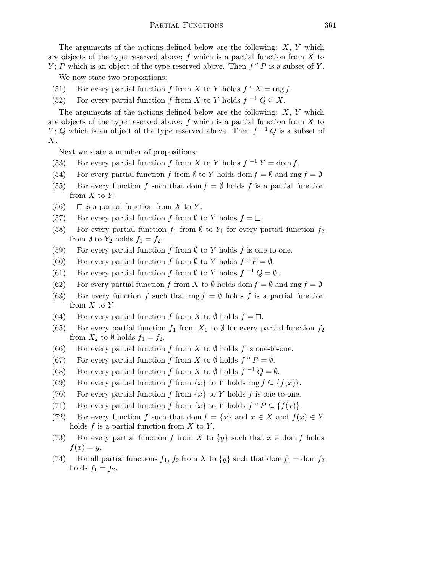The arguments of the notions defined below are the following:  $X, Y$  which are objects of the type reserved above;  $f$  which is a partial function from  $X$  to Y; P which is an object of the type reserved above. Then  $f \circ P$  is a subset of Y.

We now state two propositions:

- (51) For every partial function f from X to Y holds  $f \circ X = \text{rng } f$ .
- (52) For every partial function f from X to Y holds  $f^{-1} Q \subseteq X$ .

The arguments of the notions defined below are the following:  $X, Y$  which are objects of the type reserved above;  $f$  which is a partial function from  $X$  to Y; Q which is an object of the type reserved above. Then  $f^{-1}Q$  is a subset of X.

Next we state a number of propositions:

- (53) For every partial function f from X to Y holds  $f^{-1}Y = \text{dom } f$ .
- (54) For every partial function f from  $\emptyset$  to Y holds dom  $f = \emptyset$  and rng  $f = \emptyset$ .
- (55) For every function f such that dom  $f = \emptyset$  holds f is a partial function from  $X$  to  $Y$ .
- (56)  $\Box$  is a partial function from X to Y.
- (57) For every partial function f from  $\emptyset$  to Y holds  $f = \Box$ .
- (58) For every partial function  $f_1$  from  $\emptyset$  to  $Y_1$  for every partial function  $f_2$ from  $\emptyset$  to  $Y_2$  holds  $f_1 = f_2$ .
- (59) For every partial function f from  $\emptyset$  to Y holds f is one-to-one.
- (60) For every partial function f from  $\emptyset$  to Y holds  $f \circ P = \emptyset$ .
- (61) For every partial function f from  $\emptyset$  to Y holds  $f^{-1}Q = \emptyset$ .
- (62) For every partial function f from X to  $\emptyset$  holds dom  $f = \emptyset$  and rng  $f = \emptyset$ .
- (63) For every function f such that rng  $f = \emptyset$  holds f is a partial function from  $X$  to  $Y$ .
- (64) For every partial function f from X to  $\emptyset$  holds  $f = \Box$ .
- (65) For every partial function  $f_1$  from  $X_1$  to  $\emptyset$  for every partial function  $f_2$ from  $X_2$  to  $\emptyset$  holds  $f_1 = f_2$ .
- (66) For every partial function f from X to  $\emptyset$  holds f is one-to-one.
- (67) For every partial function f from X to  $\emptyset$  holds  $f \circ P = \emptyset$ .
- (68) For every partial function f from X to  $\emptyset$  holds  $f^{-1}Q = \emptyset$ .
- (69) For every partial function f from  $\{x\}$  to Y holds rng  $f \subseteq \{f(x)\}.$
- (70) For every partial function f from  $\{x\}$  to Y holds f is one-to-one.
- (71) For every partial function f from  $\{x\}$  to Y holds  $f \circ P \subseteq \{f(x)\}.$
- (72) For every function f such that dom  $f = \{x\}$  and  $x \in X$  and  $f(x) \in Y$ holds  $f$  is a partial function from  $X$  to  $Y$ .
- (73) For every partial function f from X to  $\{y\}$  such that  $x \in \text{dom } f$  holds  $f(x) = y$ .
- (74) For all partial functions  $f_1$ ,  $f_2$  from X to  $\{y\}$  such that dom  $f_1 = \text{dom } f_2$ holds  $f_1 = f_2$ .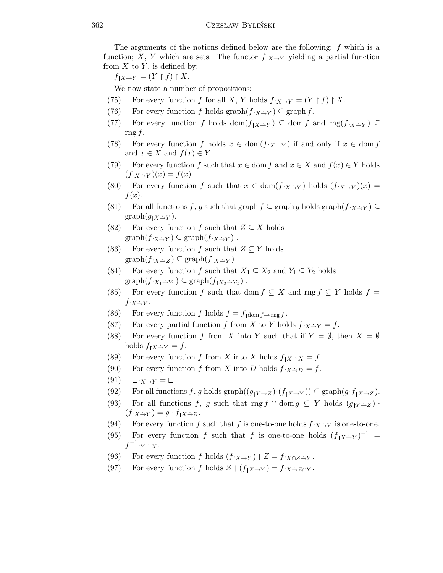The arguments of the notions defined below are the following: f which is a function; X, Y which are sets. The functor  $f_{[X\rightarrow Y]}$  yielding a partial function from  $X$  to  $Y$ , is defined by:

 $f_{\upharpoonright X\to Y}=(Y\upharpoonright f)\upharpoonright X.$ 

We now state a number of propositions:

- (75) For every function f for all X, Y holds  $f_{\upharpoonright X\rightarrow Y} = (Y \upharpoonright f) \upharpoonright X$ .
- (76) For every function f holds graph $(f_{\upharpoonright X\to Y}) \subseteq \mathrm{graph}\, f$ .
- (77) For every function f holds dom $(f_{X\to Y}) \subseteq$  dom f and  $\text{rng}(f_{X\to Y}) \subseteq$ rng f.
- (78) For every function f holds  $x \in \text{dom}(f_{\upharpoonright X\to Y})$  if and only if  $x \in \text{dom } f$ and  $x \in X$  and  $f(x) \in Y$ .
- (79) For every function f such that  $x \in \text{dom } f$  and  $x \in X$  and  $f(x) \in Y$  holds  $(f<sub>1</sub>X\rightarrow Y)(x) = f(x).$
- (80) For every function f such that  $x \in \text{dom}(f_{\upharpoonright X\to Y})$  holds  $(f_{\upharpoonright X\to Y})(x) =$  $f(x)$ .
- (81) For all functions f, g such that graph  $f \subseteq \text{graph } g$  holds graph $(f_1 X \rightarrow Y) \subseteq$  $graph(g_{\upharpoonright X\rightarrow Y}).$
- (82) For every function f such that  $Z \subseteq X$  holds  $graph(f_{\upharpoonright Z\rightarrow Y}) \subseteq graph(f_{\upharpoonright X\rightarrow Y})$ .
- (83) For every function f such that  $Z \subseteq Y$  holds  $graph(f_{\upharpoonright X\rightarrow Z}) \subseteq graph(f_{\upharpoonright X\rightarrow Y})$ .
- (84) For every function f such that  $X_1 \subseteq X_2$  and  $Y_1 \subseteq Y_2$  holds  $graph(f_{\upharpoonright X_1 \rightarrow Y_1}) \subseteq graph(f_{\upharpoonright X_2 \rightarrow Y_2})$ .
- (85) For every function f such that dom  $f \subseteq X$  and rng  $f \subseteq Y$  holds  $f =$  $f_{\upharpoonright X\to Y}$ .
- (86) For every function f holds  $f = f_{\text{dom }f \to \text{rng }f}$ .
- (87) For every partial function f from X to Y holds  $f_{\upharpoonright X\to Y}=f$ .
- (88) For every function f from X into Y such that if  $Y = \emptyset$ , then  $X = \emptyset$ holds  $f_{\upharpoonright X\rightarrow Y} = f$ .
- (89) For every function f from X into X holds  $f_{\upharpoonright X\to X} = f$ .
- (90) For every function f from X into D holds  $f_{\upharpoonright X\rightarrow D} = f$ .
- $(91)$   $\square_{\uparrow X\rightarrow Y} = \square.$
- (92) For all functions f, g holds graph $((g_1 Y \rightarrow Z) \cdot (f_1 X \rightarrow Y)) \subseteq \text{graph}(g \cdot f_1 X \rightarrow Z)$ .
- (93) For all functions f, g such that rng f ∩ dom  $g \subseteq Y$  holds  $(g_{\uparrow Y \to Z})$ .  $(f_{\upharpoonright X\rightarrow Y})=g\cdot f_{\upharpoonright X\rightarrow Z}.$
- (94) For every function f such that f is one-to-one holds  $f_{[X\rightarrow Y]}$  is one-to-one.
- (95) For every function f such that f is one-to-one holds  $(f_1 x \rightarrow Y)^{-1}$  =  $f^{-1}{}_{\restriction Y \to X}$ .
- (96) For every function f holds  $(f_{[X\rightarrow Y}) \upharpoonright Z = f_{[X\cap Z\rightarrow Y]}$ .
- (97) For every function f holds  $Z \restriction (f_{\upharpoonright X\to Y}) = f_{\upharpoonright X\to Z\cap Y}$ .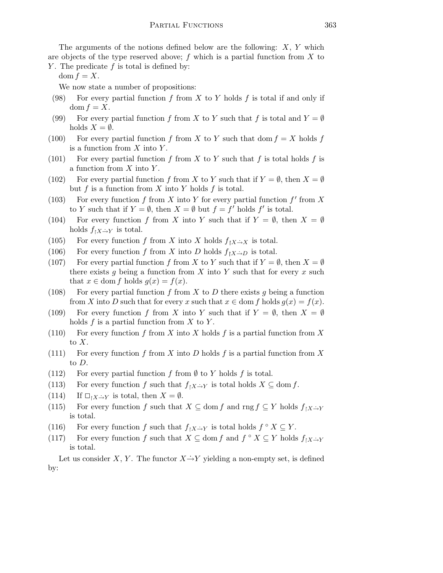The arguments of the notions defined below are the following:  $X, Y$  which are objects of the type reserved above;  $f$  which is a partial function from  $X$  to Y. The predicate  $f$  is total is defined by:

dom  $f = X$ .

We now state a number of propositions:

- (98) For every partial function f from X to Y holds f is total if and only if dom  $f = X$ .
- (99) For every partial function f from X to Y such that f is total and  $Y = \emptyset$ holds  $X = \emptyset$ .
- (100) For every partial function f from X to Y such that dom  $f = X$  holds f is a function from  $X$  into  $Y$ .
- (101) For every partial function f from X to Y such that f is total holds f is a function from  $X$  into  $Y$ .
- (102) For every partial function f from X to Y such that if  $Y = \emptyset$ , then  $X = \emptyset$ but f is a function from X into Y holds f is total.
- (103) For every function  $f$  from  $X$  into  $Y$  for every partial function  $f'$  from  $X$ to Y such that if  $Y = \emptyset$ , then  $X = \emptyset$  but  $f = f'$  holds  $f'$  is total.
- (104) For every function f from X into Y such that if  $Y = \emptyset$ , then  $X = \emptyset$ holds  $f_{\upharpoonright X\rightarrow Y}$  is total.
- (105) For every function f from X into X holds  $f_{[X\rightarrow X]}$  is total.
- (106) For every function f from X into D holds  $f_{[X\rightarrow D]}$  is total.
- (107) For every partial function f from X to Y such that if  $Y = \emptyset$ , then  $X = \emptyset$ there exists g being a function from  $X$  into  $Y$  such that for every  $x$  such that  $x \in \text{dom } f$  holds  $g(x) = f(x)$ .
- (108) For every partial function f from X to D there exists q being a function from X into D such that for every x such that  $x \in \text{dom } f$  holds  $g(x) = f(x)$ .
- (109) For every function f from X into Y such that if  $Y = \emptyset$ , then  $X = \emptyset$ holds  $f$  is a partial function from  $X$  to  $Y$ .
- (110) For every function f from X into X holds f is a partial function from X to  $X$ .
- (111) For every function f from X into D holds f is a partial function from X to D.
- (112) For every partial function f from  $\emptyset$  to Y holds f is total.
- (113) For every function f such that  $f_{\upharpoonright X\to Y}$  is total holds  $X \subseteq \text{dom } f$ .
- (114) If  $\Box_{X\rightarrow Y}$  is total, then  $X=\emptyset$ .
- (115) For every function f such that  $X \subseteq$  dom f and rng  $f \subseteq Y$  holds  $f_1 X \rightarrow Y$ is total.
- (116) For every function f such that  $f_{\upharpoonright X\to Y}$  is total holds  $f \circ X \subseteq Y$ .
- (117) For every function f such that  $X \subseteq \text{dom } f$  and  $f \circ X \subseteq Y$  holds  $f_{\upharpoonright X \to Y}$ is total.

Let us consider X, Y. The functor  $X \rightarrow Y$  yielding a non-empty set, is defined by: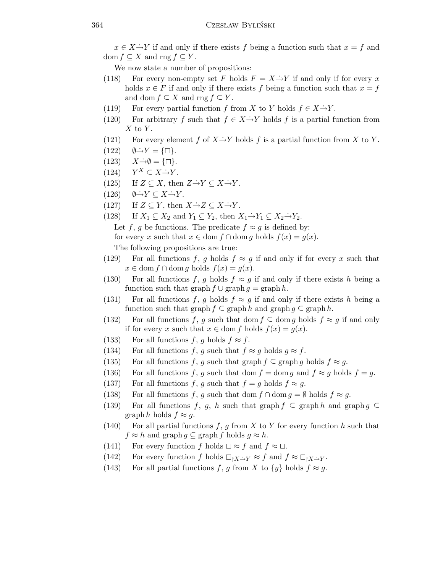$x \in X \rightarrow Y$  if and only if there exists f being a function such that  $x = f$  and dom  $f \subseteq X$  and rng  $f \subseteq Y$ .

We now state a number of propositions:

- (118) For every non-empty set F holds  $F = X \rightarrow Y$  if and only if for every x holds  $x \in F$  if and only if there exists f being a function such that  $x = f$ and dom  $f \subseteq X$  and rng  $f \subseteq Y$ .
- (119) For every partial function f from X to Y holds  $f \in X \rightarrow Y$ .
- (120) For arbitrary f such that  $f \in X \rightarrow Y$  holds f is a partial function from  $X$  to  $Y$ .
- (121) For every element f of  $X \to Y$  holds f is a partial function from X to Y.
- $(122)$   $\emptyset \rightarrow Y = {\Box}.$
- $(123)$   $X \rightarrow \emptyset = {\Box}.$
- $(124)$  $Y^X \subseteq X \dot{\rightarrow} Y$ .
- (125) If  $Z \subseteq X$ , then  $Z \rightarrow Y \subseteq X \rightarrow Y$ .
- $(126)$   $\emptyset \rightarrow Y \subseteq X \rightarrow Y$ .
- (127) If  $Z \subseteq Y$ , then  $X \rightarrow Z \subseteq X \rightarrow Y$ .
- (128) If  $X_1 \subseteq X_2$  and  $Y_1 \subseteq Y_2$ , then  $X_1 \rightarrow Y_1 \subseteq X_2 \rightarrow Y_2$ .

Let f, g be functions. The predicate  $f \approx g$  is defined by: for every x such that  $x \in \text{dom } f \cap \text{dom } g$  holds  $f(x) = g(x)$ .

The following propositions are true:

- (129) For all functions f, g holds  $f \approx g$  if and only if for every x such that  $x \in \text{dom } f \cap \text{dom } g \text{ holds } f(x) = g(x).$
- (130) For all functions f, g holds  $f \approx g$  if and only if there exists h being a function such that graph  $f \cup \text{graph } g = \text{graph } h$ .
- (131) For all functions f, g holds  $f \approx g$  if and only if there exists h being a function such that graph  $f \subseteq \text{graph } h$  and  $\text{graph } g \subseteq \text{graph } h$ .
- (132) For all functions f, g such that dom  $f \subseteq$  dom g holds  $f \approx g$  if and only if for every x such that  $x \in \text{dom } f$  holds  $f(x) = g(x)$ .
- (133) For all functions f, g holds  $f \approx f$ .
- (134) For all functions f, g such that  $f \approx g$  holds  $g \approx f$ .
- (135) For all functions f, g such that graph  $f \subseteq \text{graph } g$  holds  $f \approx g$ .
- (136) For all functions f, g such that dom  $f = \text{dom } g$  and  $f \approx g$  holds  $f = g$ .
- (137) For all functions f, g such that  $f = g$  holds  $f \approx g$ .
- (138) For all functions f, g such that dom  $f \cap \text{dom } g = \emptyset$  holds  $f \approx g$ .
- (139) For all functions f, g, h such that graph  $f \subseteq \text{graph } h$  and graph  $g \subseteq$ graph h holds  $f \approx g$ .
- (140) For all partial functions f, g from X to Y for every function h such that  $f \approx h$  and graph  $g \subseteq \text{graph } f$  holds  $g \approx h$ .
- (141) For every function f holds  $\Box \approx f$  and  $f \approx \Box$ .
- (142) For every function f holds  $\Box_{X\rightarrow Y} \approx f$  and  $f \approx \Box_{Y\rightarrow Y}$ .
- (143) For all partial functions f, g from X to  $\{y\}$  holds  $f \approx g$ .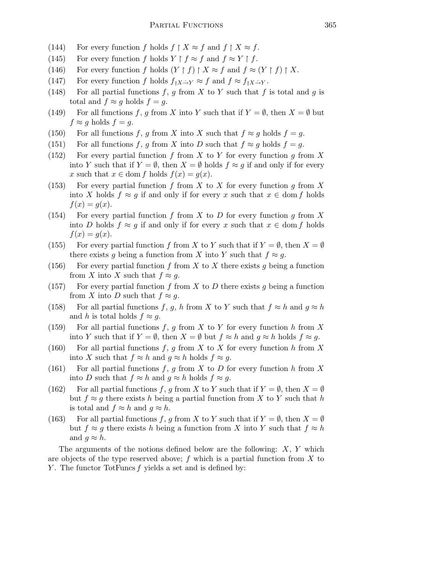- (144) For every function f holds  $f \restriction X \approx f$  and  $f \restriction X \approx f$ .
- (145) For every function f holds  $Y \upharpoonright f \approx f$  and  $f \approx Y \upharpoonright f$ .
- (146) For every function f holds  $(Y \mid f) \mid X \approx f$  and  $f \approx (Y \mid f) \mid X$ .
- (147) For every function f holds  $f_{\upharpoonright X\to Y} \approx f$  and  $f \approx f_{\upharpoonright X\to Y}$ .
- (148) For all partial functions  $f, g$  from  $X$  to  $Y$  such that  $f$  is total and  $g$  is total and  $f \approx g$  holds  $f = g$ .
- (149) For all functions f, g from X into Y such that if  $Y = \emptyset$ , then  $X = \emptyset$  but  $f \approx g$  holds  $f = g$ .
- (150) For all functions f, g from X into X such that  $f \approx g$  holds  $f = g$ .
- (151) For all functions f, g from X into D such that  $f \approx g$  holds  $f = g$ .
- (152) For every partial function f from X to Y for every function g from X into Y such that if  $Y = \emptyset$ , then  $X = \emptyset$  holds  $f \approx g$  if and only if for every x such that  $x \in \text{dom } f$  holds  $f(x) = g(x)$ .
- (153) For every partial function f from X to X for every function q from X into X holds  $f \approx g$  if and only if for every x such that  $x \in \text{dom } f$  holds  $f(x) = g(x)$ .
- (154) For every partial function f from X to D for every function g from X into D holds  $f \approx g$  if and only if for every x such that  $x \in \text{dom } f$  holds  $f(x) = g(x)$ .
- (155) For every partial function f from X to Y such that if  $Y = \emptyset$ , then  $X = \emptyset$ there exists g being a function from X into Y such that  $f \approx g$ .
- (156) For every partial function f from X to X there exists g being a function from X into X such that  $f \approx g$ .
- (157) For every partial function f from X to D there exists q being a function from X into D such that  $f \approx g$ .
- (158) For all partial functions f, g, h from X to Y such that  $f \approx h$  and  $g \approx h$ and h is total holds  $f \approx g$ .
- (159) For all partial functions f, g from X to Y for every function h from X into Y such that if  $Y = \emptyset$ , then  $X = \emptyset$  but  $f \approx h$  and  $g \approx h$  holds  $f \approx g$ .
- (160) For all partial functions f, g from X to X for every function h from X into X such that  $f \approx h$  and  $g \approx h$  holds  $f \approx g$ .
- (161) For all partial functions f, g from X to D for every function h from X into D such that  $f \approx h$  and  $g \approx h$  holds  $f \approx g$ .
- (162) For all partial functions f, g from X to Y such that if  $Y = \emptyset$ , then  $X = \emptyset$ but  $f \approx g$  there exists h being a partial function from X to Y such that h is total and  $f \approx h$  and  $g \approx h$ .
- (163) For all partial functions f, g from X to Y such that if  $Y = \emptyset$ , then  $X = \emptyset$ but  $f \approx g$  there exists h being a function from X into Y such that  $f \approx h$ and  $g \approx h$ .

The arguments of the notions defined below are the following:  $X, Y$  which are objects of the type reserved above;  $f$  which is a partial function from  $X$  to Y. The functor TotFuncs  $f$  yields a set and is defined by: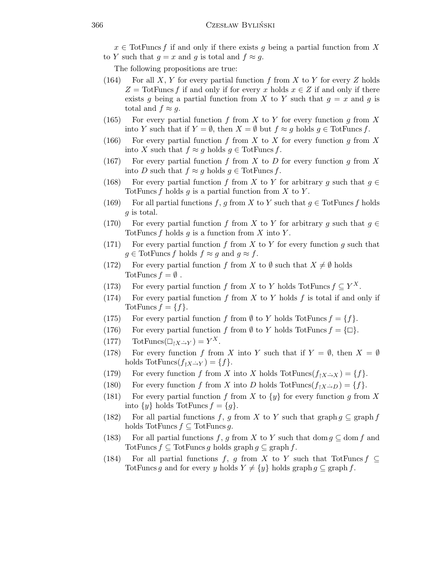$x \in$  TotFuncs f if and only if there exists g being a partial function from X to Y such that  $q = x$  and q is total and  $f \approx q$ .

The following propositions are true:

- (164) For all X, Y for every partial function f from X to Y for every Z holds  $Z = \text{TotFuncs } f$  if and only if for every x holds  $x \in Z$  if and only if there exists g being a partial function from X to Y such that  $g = x$  and g is total and  $f \approx g$ .
- (165) For every partial function f from X to Y for every function g from X into Y such that if  $Y = \emptyset$ , then  $X = \emptyset$  but  $f \approx g$  holds  $g \in \text{TotFuncs } f$ .
- (166) For every partial function f from X to X for every function g from X into X such that  $f \approx g$  holds  $g \in \text{TotFuncs } f$ .
- (167) For every partial function f from X to D for every function g from X into D such that  $f \approx g$  holds  $g \in \text{TotFuncs } f$ .
- (168) For every partial function f from X to Y for arbitrary g such that  $g \in$ TotFuncs f holds g is a partial function from X to Y.
- (169) For all partial functions f, g from X to Y such that  $g \in \text{TotFuncs } f$  holds g is total.
- (170) For every partial function f from X to Y for arbitrary g such that  $g \in$ TotFuncs f holds g is a function from X into Y.
- (171) For every partial function f from X to Y for every function g such that  $g \in \text{TotFuncs } f \text{ holds } f \approx g \text{ and } g \approx f.$
- (172) For every partial function f from X to  $\emptyset$  such that  $X \neq \emptyset$  holds TotFuncs  $f = \emptyset$ .
- (173) For every partial function f from X to Y holds TotFuncs  $f \subseteq Y^X$ .
- (174) For every partial function f from X to Y holds f is total if and only if TotFuncs  $f = \{f\}.$
- (175) For every partial function f from  $\emptyset$  to Y holds TotFuncs  $f = \{f\}.$
- (176) For every partial function f from  $\emptyset$  to Y holds TotFuncs  $f = \{\Box\}.$
- $(177)$  TotFuncs $(\Box_{\restriction X \to Y}) = Y^X$ .
- (178) For every function f from X into Y such that if  $Y = \emptyset$ , then  $X = \emptyset$ holds TotFuncs $(f_{\upharpoonright X\to Y}) = \{f\}.$
- (179) For every function f from X into X holds  $\text{TotFuncs}(f_{\upharpoonright X\to X}) = \{f\}.$
- (180) For every function f from X into D holds TotFuncs $(f_1 X \rightarrow D) = \{f\}.$
- (181) For every partial function f from X to  $\{y\}$  for every function g from X into  $\{y\}$  holds TotFuncs  $f = \{g\}.$
- (182) For all partial functions f, g from X to Y such that graph  $g \subseteq \text{graph } f$ holds TotFuncs  $f \subseteq$  TotFuncs g.
- (183) For all partial functions f, g from X to Y such that dom  $g \subseteq$  dom f and TotFuncs  $f \subseteq$  TotFuncs g holds graph  $g \subseteq$  graph f.
- (184) For all partial functions f, g from X to Y such that TotFuncs  $f \subseteq$ TotFuncs g and for every y holds  $Y \neq \{y\}$  holds graph  $g \subseteq \text{graph } f$ .